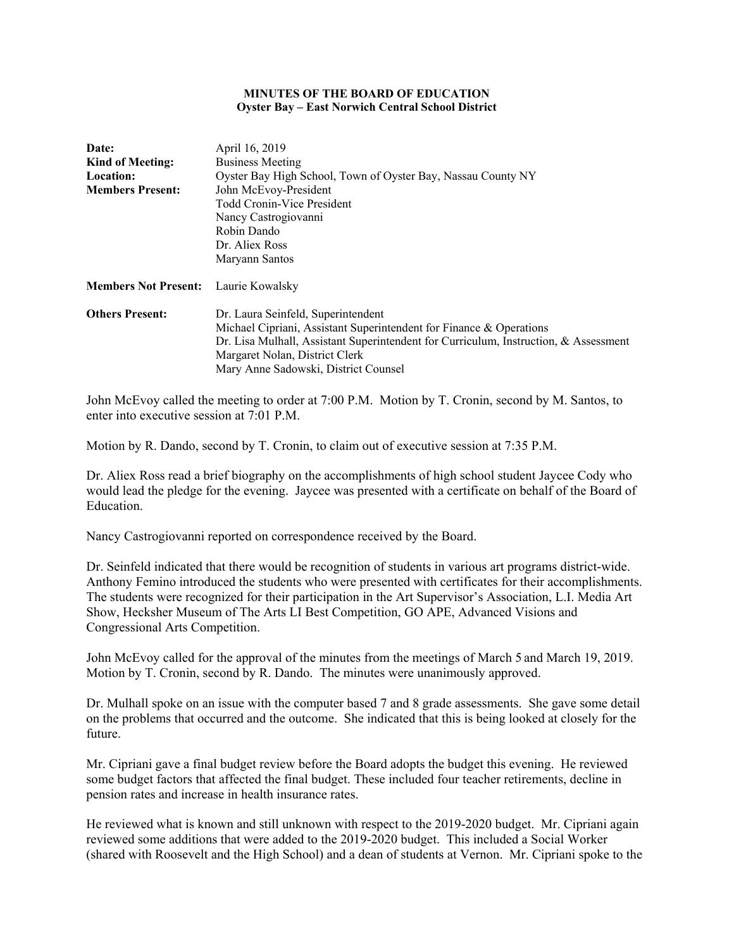#### **MINUTES OF THE BOARD OF EDUCATION Oyster Bay – East Norwich Central School District**

| Date:                       | April 16, 2019                                                                       |  |  |
|-----------------------------|--------------------------------------------------------------------------------------|--|--|
| <b>Kind of Meeting:</b>     | <b>Business Meeting</b>                                                              |  |  |
| <b>Location:</b>            | Oyster Bay High School, Town of Oyster Bay, Nassau County NY                         |  |  |
| <b>Members Present:</b>     | John McEvoy-President                                                                |  |  |
|                             | <b>Todd Cronin-Vice President</b>                                                    |  |  |
|                             | Nancy Castrogiovanni                                                                 |  |  |
|                             | Robin Dando                                                                          |  |  |
|                             | Dr. Aliex Ross                                                                       |  |  |
|                             | Maryann Santos                                                                       |  |  |
| <b>Members Not Present:</b> | Laurie Kowalsky                                                                      |  |  |
| <b>Others Present:</b>      | Dr. Laura Seinfeld, Superintendent                                                   |  |  |
|                             | Michael Cipriani, Assistant Superintendent for Finance & Operations                  |  |  |
|                             | Dr. Lisa Mulhall, Assistant Superintendent for Curriculum, Instruction, & Assessment |  |  |
|                             | Margaret Nolan, District Clerk                                                       |  |  |
|                             | Mary Anne Sadowski, District Counsel                                                 |  |  |

John McEvoy called the meeting to order at 7:00 P.M. Motion by T. Cronin, second by M. Santos, to enter into executive session at 7:01 P.M.

Motion by R. Dando, second by T. Cronin, to claim out of executive session at 7:35 P.M.

Dr. Aliex Ross read a brief biography on the accomplishments of high school student Jaycee Cody who would lead the pledge for the evening. Jaycee was presented with a certificate on behalf of the Board of Education.

Nancy Castrogiovanni reported on correspondence received by the Board.

Dr. Seinfeld indicated that there would be recognition of students in various art programs district-wide. Anthony Femino introduced the students who were presented with certificates for their accomplishments. The students were recognized for their participation in the Art Supervisor's Association, L.I. Media Art Show, Hecksher Museum of The Arts LI Best Competition, GO APE, Advanced Visions and Congressional Arts Competition.

John McEvoy called for the approval of the minutes from the meetings of March 5 and March 19, 2019. Motion by T. Cronin, second by R. Dando. The minutes were unanimously approved.

Dr. Mulhall spoke on an issue with the computer based 7 and 8 grade assessments. She gave some detail on the problems that occurred and the outcome. She indicated that this is being looked at closely for the future.

Mr. Cipriani gave a final budget review before the Board adopts the budget this evening. He reviewed some budget factors that affected the final budget. These included four teacher retirements, decline in pension rates and increase in health insurance rates.

He reviewed what is known and still unknown with respect to the 2019-2020 budget. Mr. Cipriani again reviewed some additions that were added to the 2019-2020 budget. This included a Social Worker (shared with Roosevelt and the High School) and a dean of students at Vernon. Mr. Cipriani spoke to the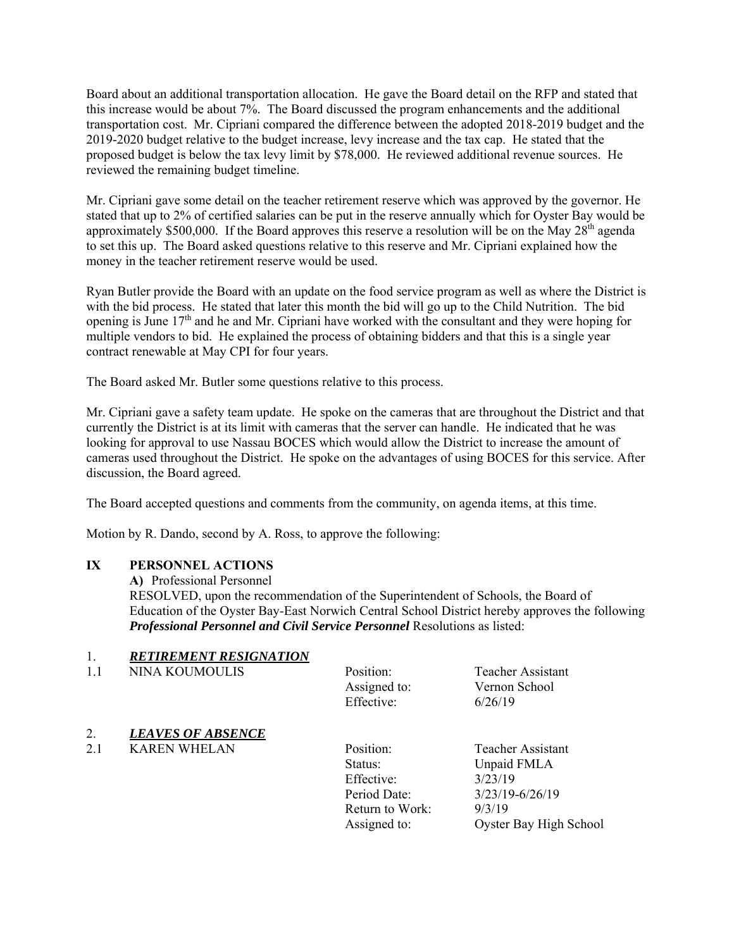Board about an additional transportation allocation. He gave the Board detail on the RFP and stated that this increase would be about 7%. The Board discussed the program enhancements and the additional transportation cost. Mr. Cipriani compared the difference between the adopted 2018-2019 budget and the 2019-2020 budget relative to the budget increase, levy increase and the tax cap. He stated that the proposed budget is below the tax levy limit by \$78,000. He reviewed additional revenue sources. He reviewed the remaining budget timeline.

Mr. Cipriani gave some detail on the teacher retirement reserve which was approved by the governor. He stated that up to 2% of certified salaries can be put in the reserve annually which for Oyster Bay would be approximately \$500,000. If the Board approves this reserve a resolution will be on the May  $28<sup>th</sup>$  agenda to set this up. The Board asked questions relative to this reserve and Mr. Cipriani explained how the money in the teacher retirement reserve would be used.

Ryan Butler provide the Board with an update on the food service program as well as where the District is with the bid process. He stated that later this month the bid will go up to the Child Nutrition. The bid opening is June  $17<sup>th</sup>$  and he and Mr. Cipriani have worked with the consultant and they were hoping for multiple vendors to bid. He explained the process of obtaining bidders and that this is a single year contract renewable at May CPI for four years.

The Board asked Mr. Butler some questions relative to this process.

Mr. Cipriani gave a safety team update. He spoke on the cameras that are throughout the District and that currently the District is at its limit with cameras that the server can handle. He indicated that he was looking for approval to use Nassau BOCES which would allow the District to increase the amount of cameras used throughout the District. He spoke on the advantages of using BOCES for this service. After discussion, the Board agreed.

The Board accepted questions and comments from the community, on agenda items, at this time.

Motion by R. Dando, second by A. Ross, to approve the following:

## **IX PERSONNEL ACTIONS**

**A)** Professional Personnel

RESOLVED, upon the recommendation of the Superintendent of Schools, the Board of Education of the Oyster Bay-East Norwich Central School District hereby approves the following **Professional Personnel and Civil Service Personnel Resolutions as listed:** 

#### 1. *RETIREMENT RESIGNATION*

| 1.1 | NINA KOUMOULIS           | Position:<br>Assigned to:<br>Effective: | <b>Teacher Assistant</b><br>Vernon School<br>6/26/19 |
|-----|--------------------------|-----------------------------------------|------------------------------------------------------|
| 2.  | <b>LEAVES OF ABSENCE</b> |                                         |                                                      |
| 2.1 | <b>KAREN WHELAN</b>      | Position:                               | <b>Teacher Assistant</b>                             |
|     |                          | Status:                                 | Unpaid FMLA                                          |
|     |                          | Effective:                              | 3/23/19                                              |
|     |                          | Period Date:                            | 3/23/19-6/26/19                                      |
|     |                          | Return to Work:                         | 9/3/19                                               |
|     |                          | Assigned to:                            | Oyster Bay High School                               |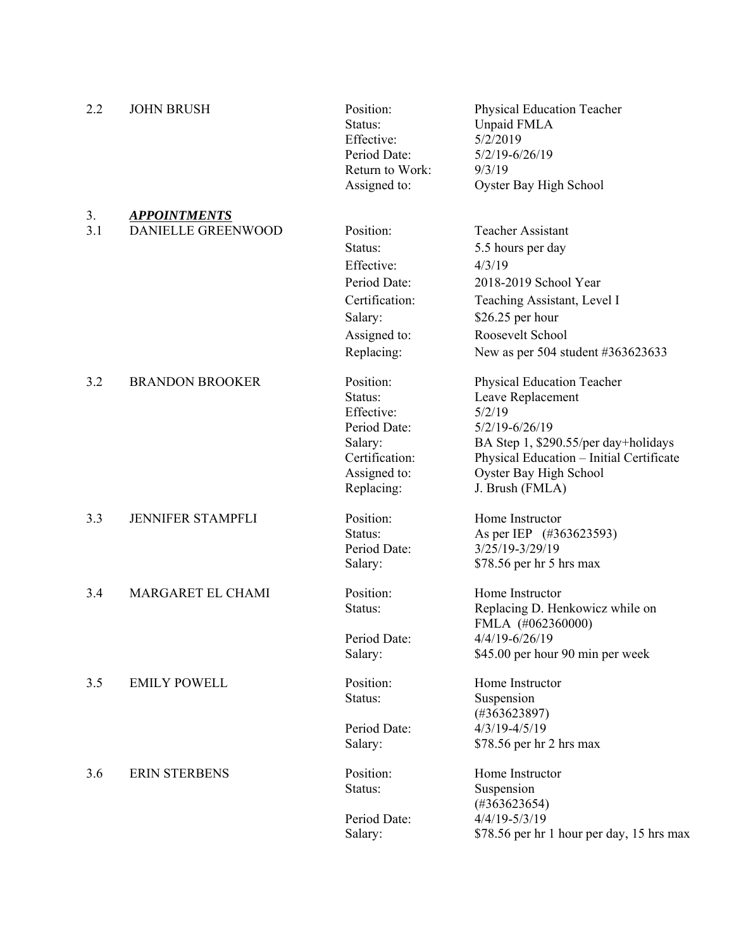| 2.2 | <b>JOHN BRUSH</b>        | Position:<br>Status:<br>Effective:<br>Period Date:<br>Return to Work:<br>Assigned to: | Physical Education Teacher<br>Unpaid FMLA<br>5/2/2019<br>5/2/19-6/26/19<br>9/3/19<br>Oyster Bay High School |
|-----|--------------------------|---------------------------------------------------------------------------------------|-------------------------------------------------------------------------------------------------------------|
| 3.  | <b>APPOINTMENTS</b>      |                                                                                       |                                                                                                             |
| 3.1 | DANIELLE GREENWOOD       | Position:                                                                             | <b>Teacher Assistant</b>                                                                                    |
|     |                          | Status:                                                                               | 5.5 hours per day                                                                                           |
|     |                          | Effective:                                                                            | 4/3/19                                                                                                      |
|     |                          | Period Date:                                                                          | 2018-2019 School Year                                                                                       |
|     |                          | Certification:                                                                        | Teaching Assistant, Level I                                                                                 |
|     |                          | Salary:                                                                               | \$26.25 per hour                                                                                            |
|     |                          | Assigned to:                                                                          | Roosevelt School                                                                                            |
|     |                          | Replacing:                                                                            | New as per 504 student #363623633                                                                           |
| 3.2 | <b>BRANDON BROOKER</b>   | Position:                                                                             | Physical Education Teacher                                                                                  |
|     |                          | Status:                                                                               | Leave Replacement                                                                                           |
|     |                          | Effective:                                                                            | 5/2/19                                                                                                      |
|     |                          | Period Date:                                                                          | $5/2/19 - 6/26/19$                                                                                          |
|     |                          | Salary:                                                                               | BA Step 1, \$290.55/per day+holidays                                                                        |
|     |                          | Certification:                                                                        | Physical Education - Initial Certificate                                                                    |
|     |                          | Assigned to:                                                                          | Oyster Bay High School                                                                                      |
|     |                          | Replacing:                                                                            | J. Brush (FMLA)                                                                                             |
| 3.3 | <b>JENNIFER STAMPFLI</b> | Position:                                                                             | Home Instructor                                                                                             |
|     |                          | Status:                                                                               | As per IEP (#363623593)                                                                                     |
|     |                          | Period Date:                                                                          | 3/25/19-3/29/19                                                                                             |
|     |                          | Salary:                                                                               | \$78.56 per hr 5 hrs max                                                                                    |
| 3.4 | MARGARET EL CHAMI        | Position:                                                                             | Home Instructor                                                                                             |
|     |                          | Status:                                                                               | Replacing D. Henkowicz while on                                                                             |
|     |                          |                                                                                       | FMLA (#062360000)                                                                                           |
|     |                          | Period Date:                                                                          | 4/4/19-6/26/19                                                                                              |
|     |                          | Salary:                                                                               | \$45.00 per hour 90 min per week                                                                            |
| 3.5 | <b>EMILY POWELL</b>      | Position:                                                                             | Home Instructor                                                                                             |
|     |                          | Status:                                                                               | Suspension                                                                                                  |
|     |                          | Period Date:                                                                          | $(\#363623897)$<br>$4/3/19 - 4/5/19$                                                                        |
|     |                          | Salary:                                                                               | \$78.56 per hr 2 hrs max                                                                                    |
|     |                          |                                                                                       |                                                                                                             |
| 3.6 | <b>ERIN STERBENS</b>     | Position:                                                                             | Home Instructor                                                                                             |
|     |                          | Status:                                                                               | Suspension                                                                                                  |
|     |                          |                                                                                       | $(\#363623654)$                                                                                             |
|     |                          | Period Date:                                                                          | 4/4/19-5/3/19                                                                                               |
|     |                          | Salary:                                                                               | \$78.56 per hr 1 hour per day, 15 hrs max                                                                   |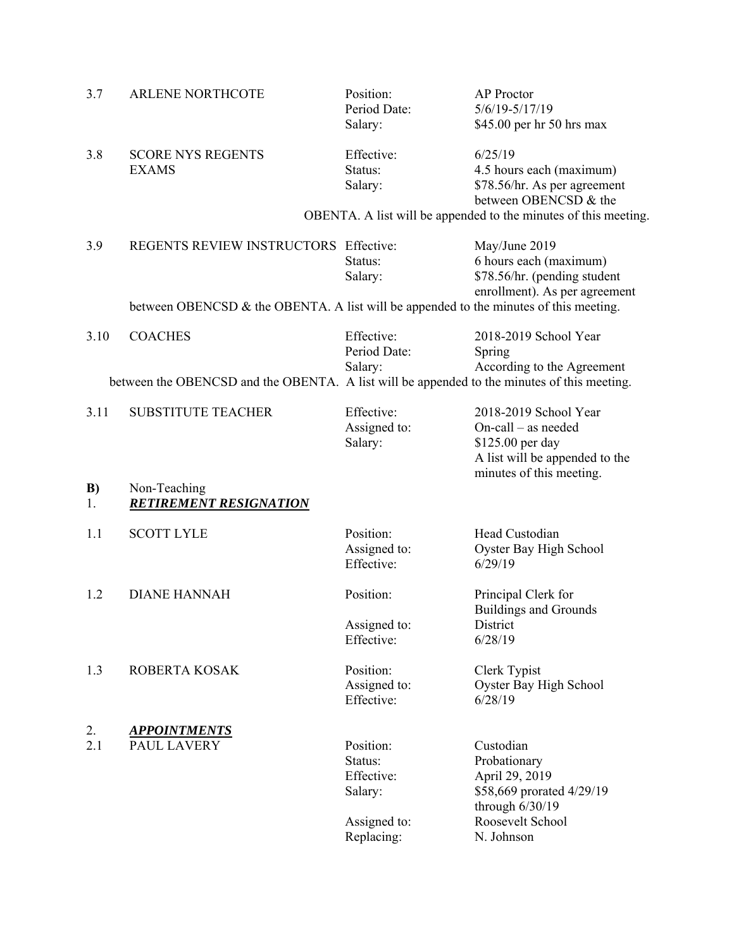| 3.7       | <b>ARLENE NORTHCOTE</b>                                                                     | Position:<br>Period Date:<br>Salary:                                        | <b>AP</b> Proctor<br>5/6/19-5/17/19<br>\$45.00 per hr 50 hrs max                                                                                                |
|-----------|---------------------------------------------------------------------------------------------|-----------------------------------------------------------------------------|-----------------------------------------------------------------------------------------------------------------------------------------------------------------|
| 3.8       | <b>SCORE NYS REGENTS</b><br><b>EXAMS</b>                                                    | Effective:<br>Status:<br>Salary:                                            | 6/25/19<br>4.5 hours each (maximum)<br>\$78.56/hr. As per agreement<br>between OBENCSD & the<br>OBENTA. A list will be appended to the minutes of this meeting. |
| 3.9       | REGENTS REVIEW INSTRUCTORS Effective:                                                       | Status:<br>Salary:                                                          | May/June 2019<br>6 hours each (maximum)<br>\$78.56/hr. (pending student<br>enrollment). As per agreement                                                        |
|           | between OBENCSD & the OBENTA. A list will be appended to the minutes of this meeting.       |                                                                             |                                                                                                                                                                 |
| 3.10      | <b>COACHES</b>                                                                              | Effective:<br>Period Date:<br>Salary:                                       | 2018-2019 School Year<br>Spring<br>According to the Agreement                                                                                                   |
|           | between the OBENCSD and the OBENTA. A list will be appended to the minutes of this meeting. |                                                                             |                                                                                                                                                                 |
| 3.11      | <b>SUBSTITUTE TEACHER</b>                                                                   | Effective:<br>Assigned to:<br>Salary:                                       | 2018-2019 School Year<br>On-call - as needed<br>\$125.00 per day<br>A list will be appended to the<br>minutes of this meeting.                                  |
| B)<br>1.  | Non-Teaching<br><b>RETIREMENT RESIGNATION</b>                                               |                                                                             |                                                                                                                                                                 |
| 1.1       | <b>SCOTT LYLE</b>                                                                           | Position:<br>Assigned to:<br>Effective:                                     | Head Custodian<br>Oyster Bay High School<br>6/29/19                                                                                                             |
| 1.2       | <b>DIANE HANNAH</b>                                                                         | Position:                                                                   | Principal Clerk for<br><b>Buildings and Grounds</b>                                                                                                             |
|           |                                                                                             | Assigned to:<br>Effective:                                                  | District<br>6/28/19                                                                                                                                             |
| 1.3       | ROBERTA KOSAK                                                                               | Position:<br>Assigned to:<br>Effective:                                     | Clerk Typist<br>Oyster Bay High School<br>6/28/19                                                                                                               |
| 2.<br>2.1 | <b>APPOINTMENTS</b><br><b>PAUL LAVERY</b>                                                   | Position:<br>Status:<br>Effective:<br>Salary:<br>Assigned to:<br>Replacing: | Custodian<br>Probationary<br>April 29, 2019<br>\$58,669 prorated 4/29/19<br>through $6/30/19$<br>Roosevelt School<br>N. Johnson                                 |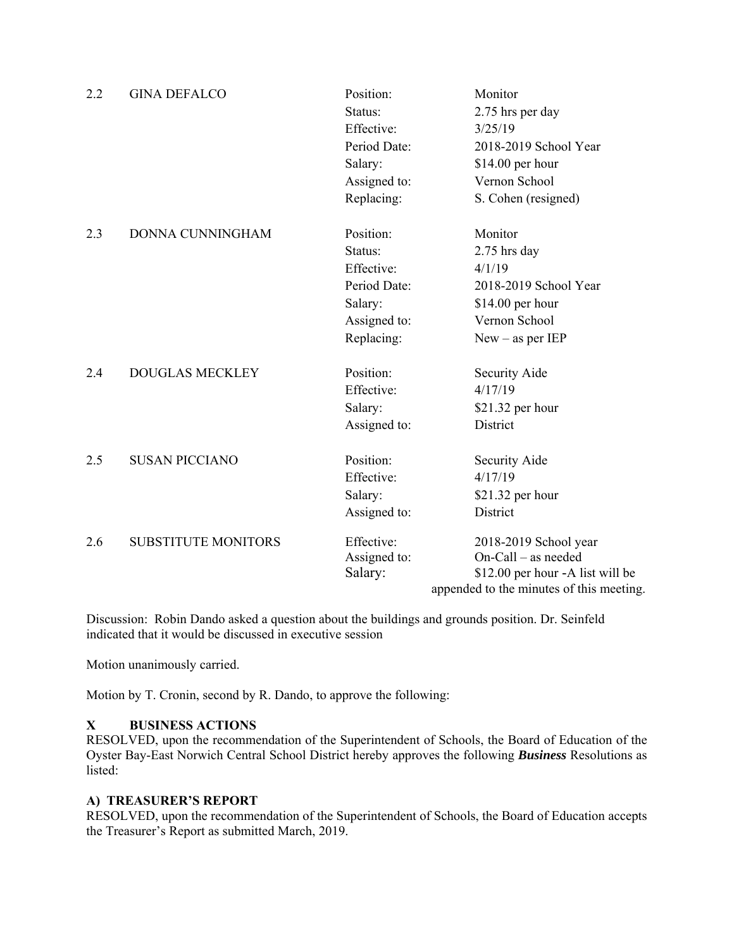| 2.2 | <b>GINA DEFALCO</b>        | Position:<br>Status:<br>Effective:<br>Period Date:<br>Salary:<br>Assigned to:<br>Replacing: | Monitor<br>2.75 hrs per day<br>3/25/19<br>2018-2019 School Year<br>\$14.00 per hour<br>Vernon School<br>S. Cohen (resigned)     |
|-----|----------------------------|---------------------------------------------------------------------------------------------|---------------------------------------------------------------------------------------------------------------------------------|
| 2.3 | DONNA CUNNINGHAM           | Position:<br>Status:<br>Effective:<br>Period Date:<br>Salary:<br>Assigned to:<br>Replacing: | Monitor<br>2.75 hrs day<br>4/1/19<br>2018-2019 School Year<br>\$14.00 per hour<br>Vernon School<br>$New - as per IEP$           |
| 2.4 | <b>DOUGLAS MECKLEY</b>     | Position:<br>Effective:<br>Salary:<br>Assigned to:                                          | Security Aide<br>4/17/19<br>\$21.32 per hour<br>District                                                                        |
| 2.5 | <b>SUSAN PICCIANO</b>      | Position:<br>Effective:<br>Salary:<br>Assigned to:                                          | Security Aide<br>4/17/19<br>\$21.32 per hour<br>District                                                                        |
| 2.6 | <b>SUBSTITUTE MONITORS</b> | Effective:<br>Assigned to:<br>Salary:                                                       | 2018-2019 School year<br>$On$ -Call – as needed<br>\$12.00 per hour -A list will be<br>appended to the minutes of this meeting. |

Discussion: Robin Dando asked a question about the buildings and grounds position. Dr. Seinfeld indicated that it would be discussed in executive session

Motion unanimously carried.

Motion by T. Cronin, second by R. Dando, to approve the following:

## **X BUSINESS ACTIONS**

RESOLVED, upon the recommendation of the Superintendent of Schools, the Board of Education of the Oyster Bay-East Norwich Central School District hereby approves the following *Business* Resolutions as listed:

## **A) TREASURER'S REPORT**

RESOLVED, upon the recommendation of the Superintendent of Schools, the Board of Education accepts the Treasurer's Report as submitted March, 2019.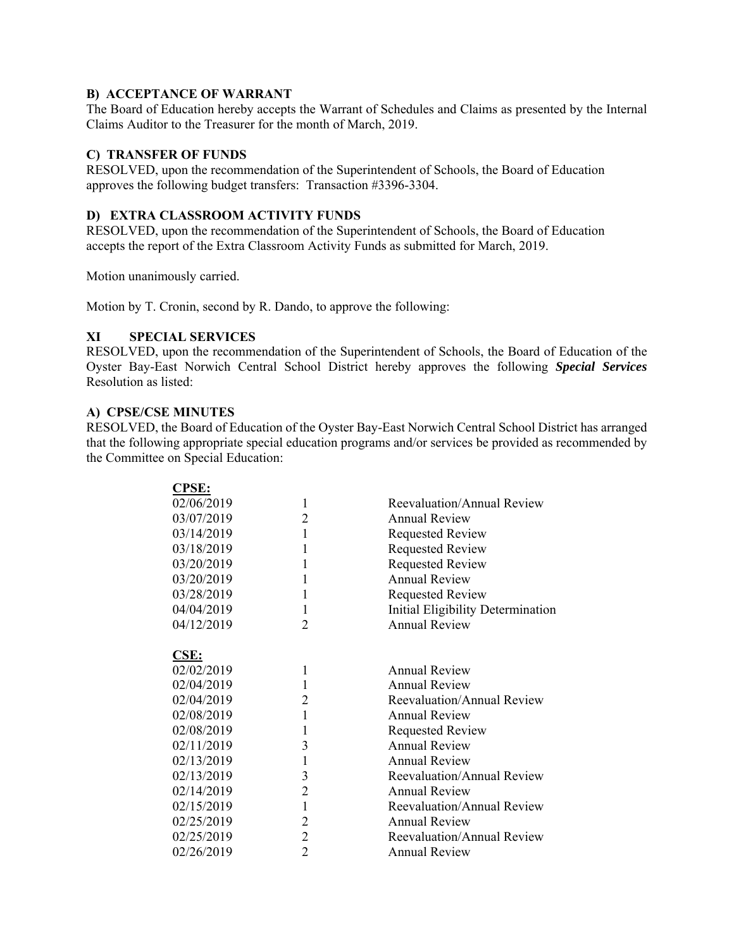## **B) ACCEPTANCE OF WARRANT**

The Board of Education hereby accepts the Warrant of Schedules and Claims as presented by the Internal Claims Auditor to the Treasurer for the month of March, 2019.

## **C) TRANSFER OF FUNDS**

RESOLVED, upon the recommendation of the Superintendent of Schools, the Board of Education approves the following budget transfers: Transaction #3396-3304.

#### **D) EXTRA CLASSROOM ACTIVITY FUNDS**

RESOLVED, upon the recommendation of the Superintendent of Schools, the Board of Education accepts the report of the Extra Classroom Activity Funds as submitted for March, 2019.

Motion unanimously carried.

Motion by T. Cronin, second by R. Dando, to approve the following:

## **XI SPECIAL SERVICES**

RESOLVED, upon the recommendation of the Superintendent of Schools, the Board of Education of the Oyster Bay-East Norwich Central School District hereby approves the following *Special Services*  Resolution as listed:

#### **A) CPSE/CSE MINUTES**

RESOLVED, the Board of Education of the Oyster Bay-East Norwich Central School District has arranged that the following appropriate special education programs and/or services be provided as recommended by the Committee on Special Education:

| <b>CPSE:</b> |                |                                   |
|--------------|----------------|-----------------------------------|
| 02/06/2019   | 1              | Reevaluation/Annual Review        |
| 03/07/2019   | 2              | <b>Annual Review</b>              |
| 03/14/2019   | $\mathbf{1}$   | <b>Requested Review</b>           |
| 03/18/2019   | 1              | <b>Requested Review</b>           |
| 03/20/2019   | 1              | <b>Requested Review</b>           |
| 03/20/2019   | 1              | <b>Annual Review</b>              |
| 03/28/2019   | 1              | <b>Requested Review</b>           |
| 04/04/2019   | 1              | Initial Eligibility Determination |
| 04/12/2019   | $\overline{2}$ | <b>Annual Review</b>              |
| <u>CSE:</u>  |                |                                   |
| 02/02/2019   | 1              | <b>Annual Review</b>              |
| 02/04/2019   | 1              | <b>Annual Review</b>              |
| 02/04/2019   | 2              | Reevaluation/Annual Review        |
| 02/08/2019   | $\mathbf{1}$   | <b>Annual Review</b>              |
| 02/08/2019   | 1              | <b>Requested Review</b>           |
| 02/11/2019   | 3              | <b>Annual Review</b>              |
| 02/13/2019   | 1              | <b>Annual Review</b>              |
| 02/13/2019   | 3              | Reevaluation/Annual Review        |
| 02/14/2019   | $\overline{2}$ | <b>Annual Review</b>              |
| 02/15/2019   | $\mathbf{1}$   | Reevaluation/Annual Review        |
| 02/25/2019   | 2              | <b>Annual Review</b>              |
| 02/25/2019   | $\overline{2}$ | Reevaluation/Annual Review        |
|              |                |                                   |
| 02/26/2019   | $\overline{2}$ | <b>Annual Review</b>              |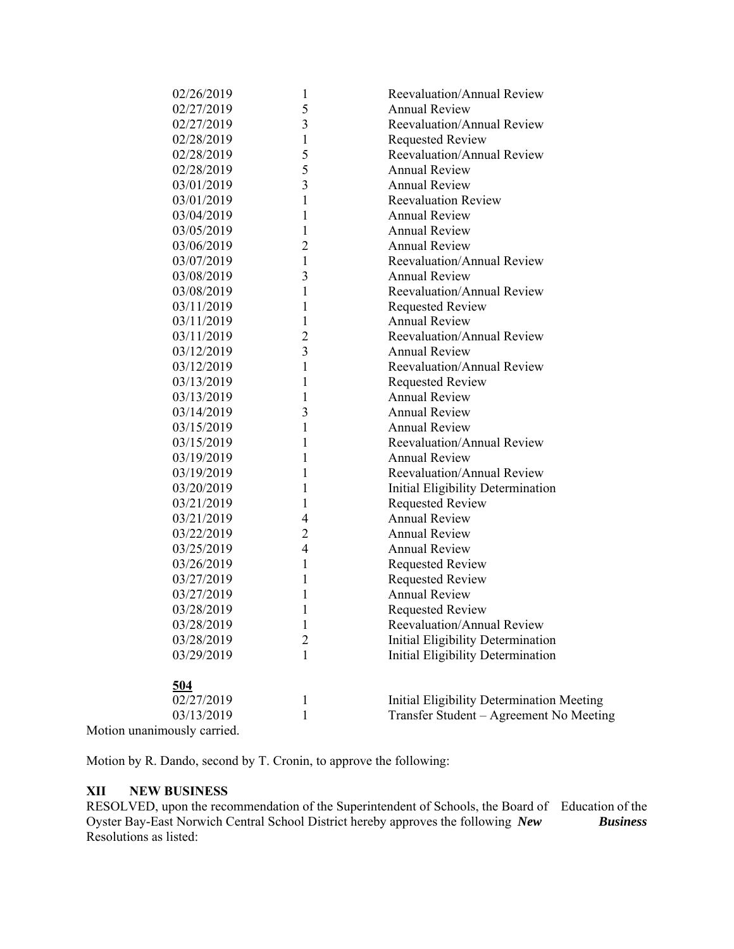| 02/26/2019                  | 1              | Reevaluation/Annual Review                |
|-----------------------------|----------------|-------------------------------------------|
| 02/27/2019                  | 5              | <b>Annual Review</b>                      |
| 02/27/2019                  | 3              | Reevaluation/Annual Review                |
| 02/28/2019                  | 1              | <b>Requested Review</b>                   |
| 02/28/2019                  | 5              | Reevaluation/Annual Review                |
| 02/28/2019                  | 5              | <b>Annual Review</b>                      |
| 03/01/2019                  | 3              | <b>Annual Review</b>                      |
| 03/01/2019                  | 1              | <b>Reevaluation Review</b>                |
| 03/04/2019                  | 1              | <b>Annual Review</b>                      |
| 03/05/2019                  | 1              | <b>Annual Review</b>                      |
| 03/06/2019                  | $\overline{2}$ | <b>Annual Review</b>                      |
| 03/07/2019                  | $\mathbf{1}$   | Reevaluation/Annual Review                |
| 03/08/2019                  | 3              | <b>Annual Review</b>                      |
| 03/08/2019                  | 1              | Reevaluation/Annual Review                |
| 03/11/2019                  | 1              | <b>Requested Review</b>                   |
| 03/11/2019                  | 1              | <b>Annual Review</b>                      |
| 03/11/2019                  | 2              | Reevaluation/Annual Review                |
| 03/12/2019                  | 3              | <b>Annual Review</b>                      |
| 03/12/2019                  | 1              | Reevaluation/Annual Review                |
| 03/13/2019                  | 1              | <b>Requested Review</b>                   |
| 03/13/2019                  | 1              | <b>Annual Review</b>                      |
| 03/14/2019                  | 3              | <b>Annual Review</b>                      |
| 03/15/2019                  | 1              | <b>Annual Review</b>                      |
| 03/15/2019                  | 1              | Reevaluation/Annual Review                |
| 03/19/2019                  | 1              | <b>Annual Review</b>                      |
| 03/19/2019                  | 1              | Reevaluation/Annual Review                |
| 03/20/2019                  | 1              | Initial Eligibility Determination         |
| 03/21/2019                  | 1              | <b>Requested Review</b>                   |
| 03/21/2019                  | 4              | <b>Annual Review</b>                      |
| 03/22/2019                  | 2              | <b>Annual Review</b>                      |
| 03/25/2019                  | 4              | <b>Annual Review</b>                      |
| 03/26/2019                  | 1              | Requested Review                          |
| 03/27/2019                  | 1              | <b>Requested Review</b>                   |
| 03/27/2019                  | 1              | <b>Annual Review</b>                      |
| 03/28/2019                  | 1              | <b>Requested Review</b>                   |
| 03/28/2019                  | 1              | Reevaluation/Annual Review                |
| 03/28/2019                  | $\overline{2}$ | Initial Eligibility Determination         |
| 03/29/2019                  | 1              | Initial Eligibility Determination         |
| 504                         |                |                                           |
| 02/27/2019                  | 1              | Initial Eligibility Determination Meeting |
| 03/13/2019                  | 1              | Transfer Student - Agreement No Meeting   |
| Motion unanimously carried. |                |                                           |

Motion by R. Dando, second by T. Cronin, to approve the following:

# **XII NEW BUSINESS**

RESOLVED, upon the recommendation of the Superintendent of Schools, the Board of Education of the Oyster Bay-East Norwich Central School District hereby approves the following New Business Oyster Bay-East Norwich Central School District hereby approves the following *New* Resolutions as listed: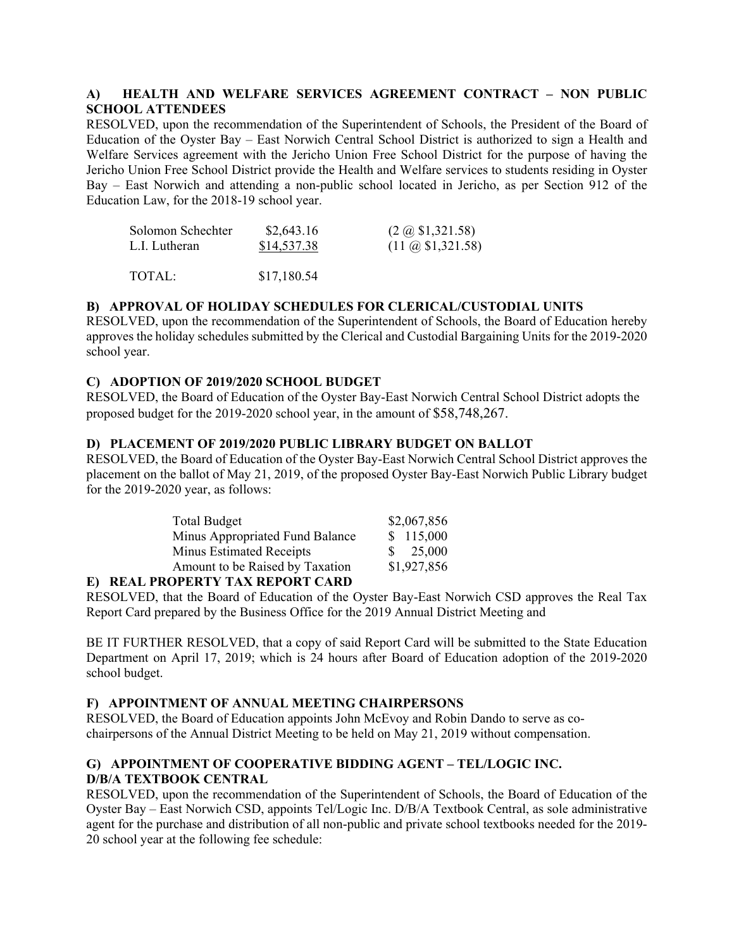## **A) HEALTH AND WELFARE SERVICES AGREEMENT CONTRACT – NON PUBLIC SCHOOL ATTENDEES**

RESOLVED, upon the recommendation of the Superintendent of Schools, the President of the Board of Education of the Oyster Bay – East Norwich Central School District is authorized to sign a Health and Welfare Services agreement with the Jericho Union Free School District for the purpose of having the Jericho Union Free School District provide the Health and Welfare services to students residing in Oyster Bay – East Norwich and attending a non-public school located in Jericho, as per Section 912 of the Education Law, for the 2018-19 school year.

| Solomon Schechter | \$2,643.16  | $(2 \omega \$ \$1,321.58)       |
|-------------------|-------------|---------------------------------|
| L.I. Lutheran     | \$14,537.38 | $(11 \omega \text{ $1,321.58})$ |
| TOTAL:            | \$17,180.54 |                                 |

## **B) APPROVAL OF HOLIDAY SCHEDULES FOR CLERICAL/CUSTODIAL UNITS**

RESOLVED, upon the recommendation of the Superintendent of Schools, the Board of Education hereby approves the holiday schedules submitted by the Clerical and Custodial Bargaining Units for the 2019-2020 school year.

# **C) ADOPTION OF 2019/2020 SCHOOL BUDGET**

RESOLVED, the Board of Education of the Oyster Bay-East Norwich Central School District adopts the proposed budget for the 2019-2020 school year, in the amount of \$58,748,267.

## **D) PLACEMENT OF 2019/2020 PUBLIC LIBRARY BUDGET ON BALLOT**

RESOLVED, the Board of Education of the Oyster Bay-East Norwich Central School District approves the placement on the ballot of May 21, 2019, of the proposed Oyster Bay-East Norwich Public Library budget for the 2019-2020 year, as follows:

| Total Budget                    | \$2,067,856 |
|---------------------------------|-------------|
| Minus Appropriated Fund Balance | \$115,000   |
| <b>Minus Estimated Receipts</b> | \$ 25,000   |
| Amount to be Raised by Taxation | \$1,927,856 |
|                                 |             |

## **E) REAL PROPERTY TAX REPORT CARD**

RESOLVED, that the Board of Education of the Oyster Bay-East Norwich CSD approves the Real Tax Report Card prepared by the Business Office for the 2019 Annual District Meeting and

BE IT FURTHER RESOLVED, that a copy of said Report Card will be submitted to the State Education Department on April 17, 2019; which is 24 hours after Board of Education adoption of the 2019-2020 school budget.

# **F) APPOINTMENT OF ANNUAL MEETING CHAIRPERSONS**

RESOLVED, the Board of Education appoints John McEvoy and Robin Dando to serve as cochairpersons of the Annual District Meeting to be held on May 21, 2019 without compensation.

# **G) APPOINTMENT OF COOPERATIVE BIDDING AGENT – TEL/LOGIC INC. D/B/A TEXTBOOK CENTRAL**

RESOLVED, upon the recommendation of the Superintendent of Schools, the Board of Education of the Oyster Bay – East Norwich CSD, appoints Tel/Logic Inc. D/B/A Textbook Central, as sole administrative agent for the purchase and distribution of all non-public and private school textbooks needed for the 2019- 20 school year at the following fee schedule: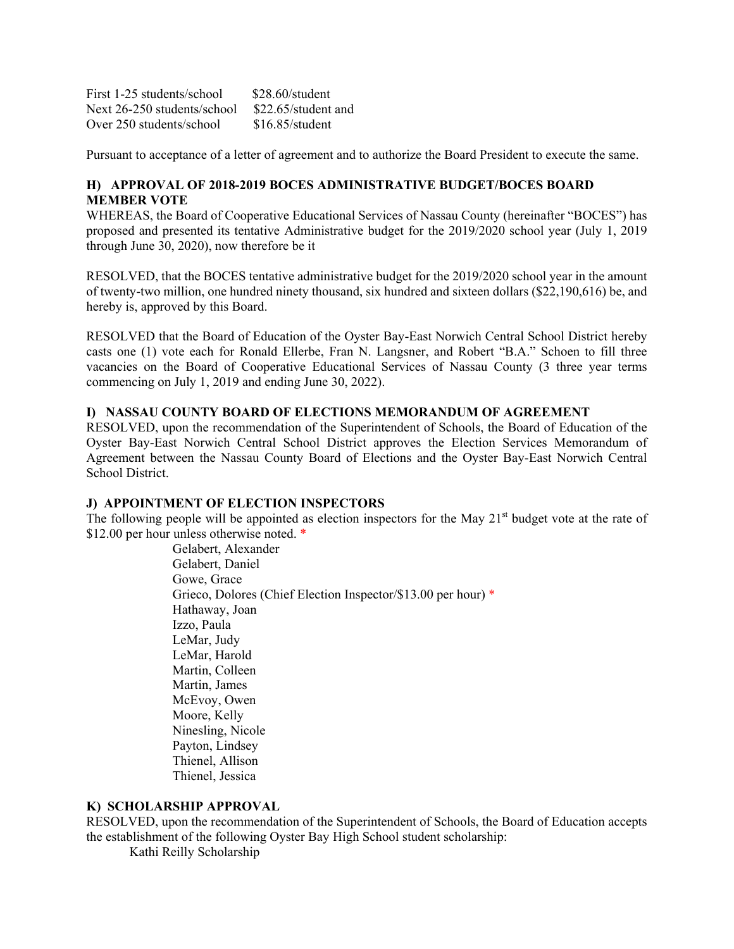First 1-25 students/school \$28.60/student Next 26-250 students/school \$22.65/student and Over 250 students/school \$16.85/student

Pursuant to acceptance of a letter of agreement and to authorize the Board President to execute the same.

# **H) APPROVAL OF 2018-2019 BOCES ADMINISTRATIVE BUDGET/BOCES BOARD MEMBER VOTE**

WHEREAS, the Board of Cooperative Educational Services of Nassau County (hereinafter "BOCES") has proposed and presented its tentative Administrative budget for the 2019/2020 school year (July 1, 2019 through June 30, 2020), now therefore be it

RESOLVED, that the BOCES tentative administrative budget for the 2019/2020 school year in the amount of twenty-two million, one hundred ninety thousand, six hundred and sixteen dollars (\$22,190,616) be, and hereby is, approved by this Board.

RESOLVED that the Board of Education of the Oyster Bay-East Norwich Central School District hereby casts one (1) vote each for Ronald Ellerbe, Fran N. Langsner, and Robert "B.A." Schoen to fill three vacancies on the Board of Cooperative Educational Services of Nassau County (3 three year terms commencing on July 1, 2019 and ending June 30, 2022).

#### **I) NASSAU COUNTY BOARD OF ELECTIONS MEMORANDUM OF AGREEMENT**

RESOLVED, upon the recommendation of the Superintendent of Schools, the Board of Education of the Oyster Bay-East Norwich Central School District approves the Election Services Memorandum of Agreement between the Nassau County Board of Elections and the Oyster Bay-East Norwich Central School District.

#### **J) APPOINTMENT OF ELECTION INSPECTORS**

The following people will be appointed as election inspectors for the May  $21<sup>st</sup>$  budget vote at the rate of \$12.00 per hour unless otherwise noted. \*

> Gelabert, Alexander Gelabert, Daniel Gowe, Grace Grieco, Dolores (Chief Election Inspector/\$13.00 per hour) \* Hathaway, Joan Izzo, Paula LeMar, Judy LeMar, Harold Martin, Colleen Martin, James McEvoy, Owen Moore, Kelly Ninesling, Nicole Payton, Lindsey Thienel, Allison Thienel, Jessica

#### **K) SCHOLARSHIP APPROVAL**

RESOLVED, upon the recommendation of the Superintendent of Schools, the Board of Education accepts the establishment of the following Oyster Bay High School student scholarship:

Kathi Reilly Scholarship